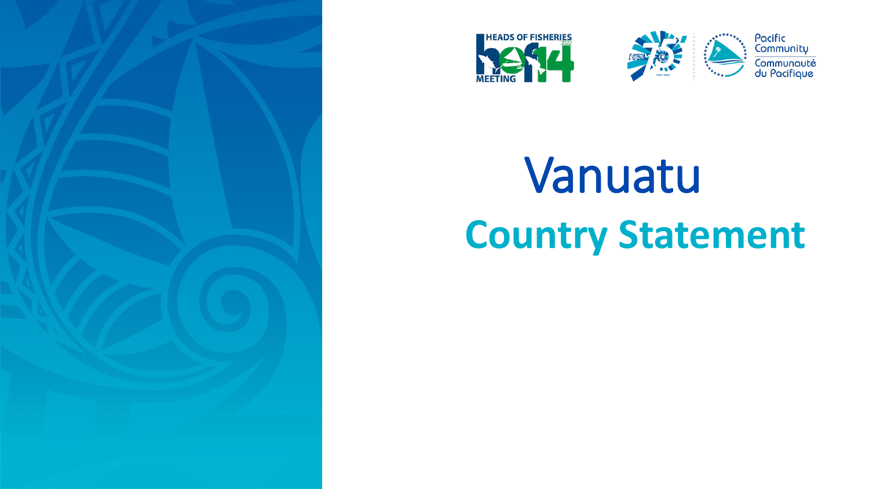





# Vanuatu **Country Statement**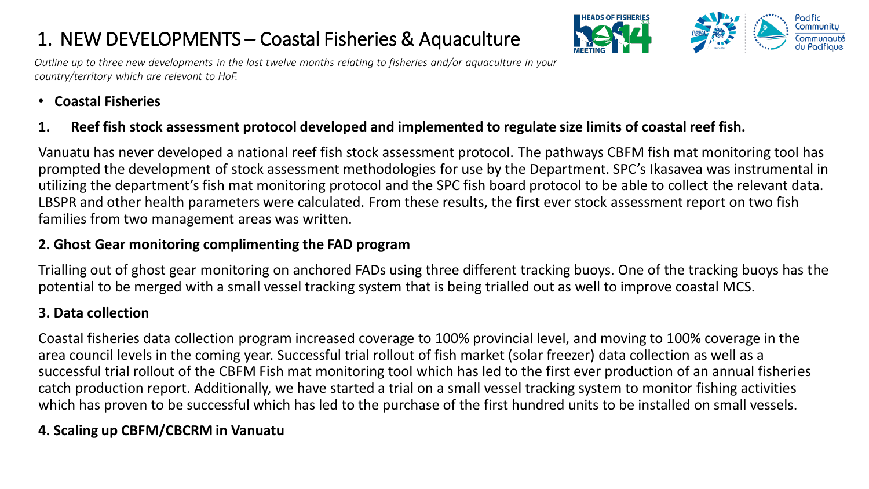### 1. NEW DEVELOPMENTS – Coastal Fisheries & Aquaculture



*Outline up to three new developments in the last twelve months relating to fisheries and/or aquaculture in your country/territory which are relevant to HoF.* 

#### • **Coastal Fisheries**

#### **1. Reef fish stock assessment protocol developed and implemented to regulate size limits of coastal reef fish.**

Vanuatu has never developed a national reef fish stock assessment protocol. The pathways CBFM fish mat monitoring tool has prompted the development of stock assessment methodologies for use by the Department. SPC's Ikasavea was instrumental in utilizing the department's fish mat monitoring protocol and the SPC fish board protocol to be able to collect the relevant data. LBSPR and other health parameters were calculated. From these results, the first ever stock assessment report on two fish families from two management areas was written.

#### **2. Ghost Gear monitoring complimenting the FAD program**

Trialling out of ghost gear monitoring on anchored FADs using three different tracking buoys. One of the tracking buoys has the potential to be merged with a small vessel tracking system that is being trialled out as well to improve coastal MCS.

#### **3. Data collection**

Coastal fisheries data collection program increased coverage to 100% provincial level, and moving to 100% coverage in the area council levels in the coming year. Successful trial rollout of fish market (solar freezer) data collection as well as a successful trial rollout of the CBFM Fish mat monitoring tool which has led to the first ever production of an annual fisheries catch production report. Additionally, we have started a trial on a small vessel tracking system to monitor fishing activities which has proven to be successful which has led to the purchase of the first hundred units to be installed on small vessels.

#### **4. Scaling up CBFM/CBCRM in Vanuatu**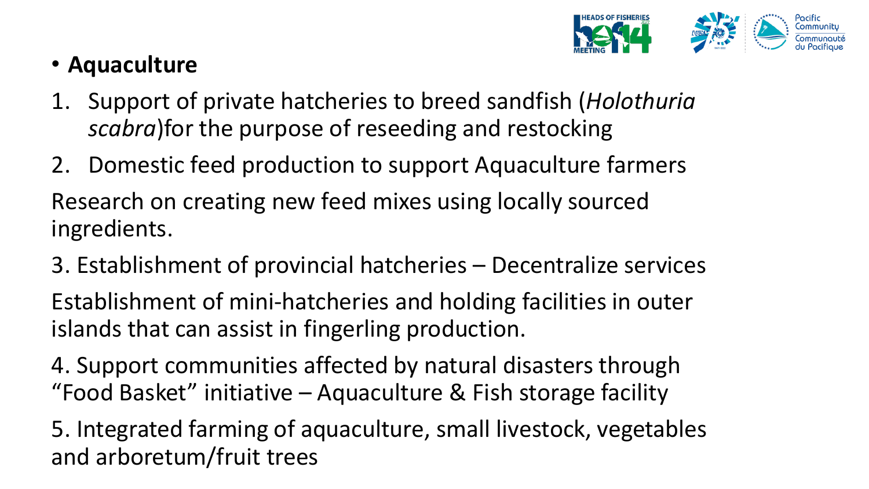

## • **Aquaculture**

- 1. Support of private hatcheries to breed sandfish (*Holothuria scabra*)for the purpose of reseeding and restocking
- 2. Domestic feed production to support Aquaculture farmers Research on creating new feed mixes using locally sourced ingredients.
- 3. Establishment of provincial hatcheries Decentralize services

Establishment of mini-hatcheries and holding facilities in outer islands that can assist in fingerling production.

4. Support communities affected by natural disasters through "Food Basket" initiative – Aquaculture & Fish storage facility

5. Integrated farming of aquaculture, small livestock, vegetables and arboretum/fruit trees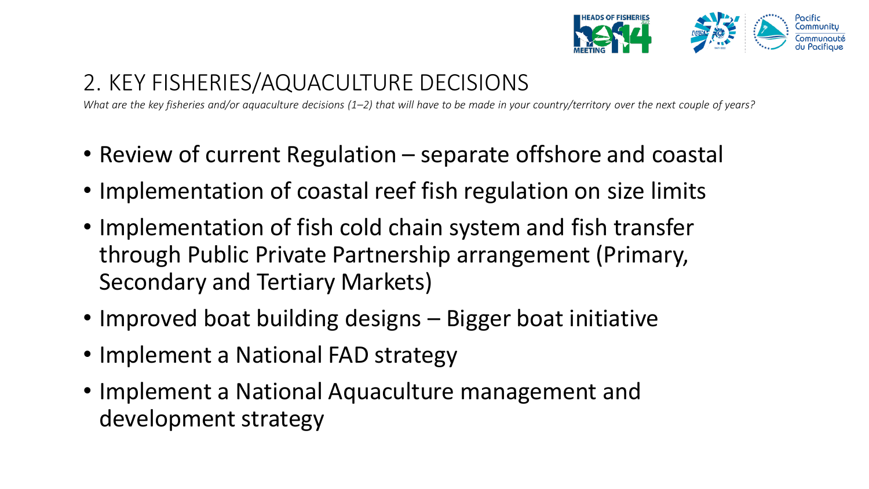

## 2. KEY FISHERIES/AQUACULTURE DECISIONS

*What are the key fisheries and/or aquaculture decisions (1–2) that will have to be made in your country/territory over the next couple of years?*

- Review of current Regulation separate offshore and coastal
- Implementation of coastal reef fish regulation on size limits
- Implementation of fish cold chain system and fish transfer through Public Private Partnership arrangement (Primary, Secondary and Tertiary Markets)
- Improved boat building designs Bigger boat initiative
- Implement a National FAD strategy
- Implement a National Aquaculture management and development strategy